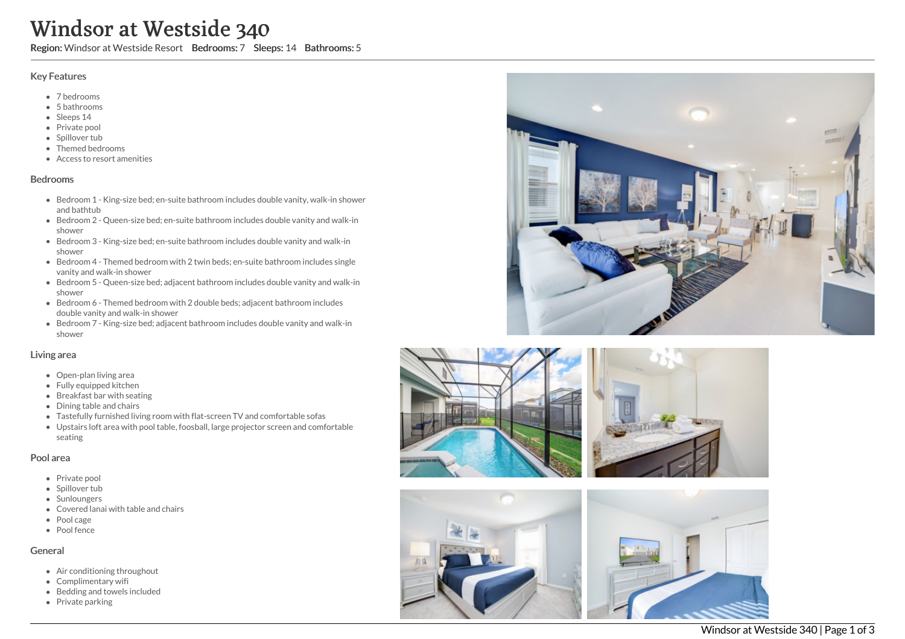# Windsor at Westside 340

Region: Windsor at Westside Resort Bedrooms: 7 Sleeps: 14 Bathrooms: 5

### Key Features

- 7 b e d r o o m s
- 5 b a t h r o o m s
- Sleeps 14
- Private pool
- Spillover tub
- Themed bedr o o m s
- Access to resort amenities

#### **Bedrooms**

- Bedroom 1 King-size bed; en-suite bathroom includes double vanity, walk-in shower and bathtub
- Bedroom 2 Queen-size bed; en-suite bathroom includes double vanity and walk-in s h o w e r
- Bedroom 3 King-size bed; en-suite bathroom includes double vanity and walk-in s h o w e r
- Bedroom 4 Themed bedroom with 2 twin beds; en-suite bathroom includes single vanity and walk-in shower
- Bedroom 5 Queen-size bed; adjacent bathroom includes double vanity and walk-in s h o w e r
- Bedroom 6 Themed bedroom with 2 double beds; adjacent bathroom includes double vanity and walk-in shower
- Bedroom 7 King-size bed; adjacent bathroom includes double vanity and walk-in s h o w e r

#### Living area

- Open-plan living area
- Fully equipped kitchen
- Breakfast bar with seating
- Dining table and chairs
- Tastefully furnished living room with flat-screen TV and comfortable sofas
- Upstairs loft area with pool table, foosball, large projector screen and comfortable s e a tin g

#### Pool area

- Private pool
- Spillover tub
- Sunloungers
- Covered lanai with table and chairs
- Pool cage
- Pool fence

#### General

- Air conditioning throughout
- Complimentary wifi
- Bedding and towels in clu d e d
- Private parking





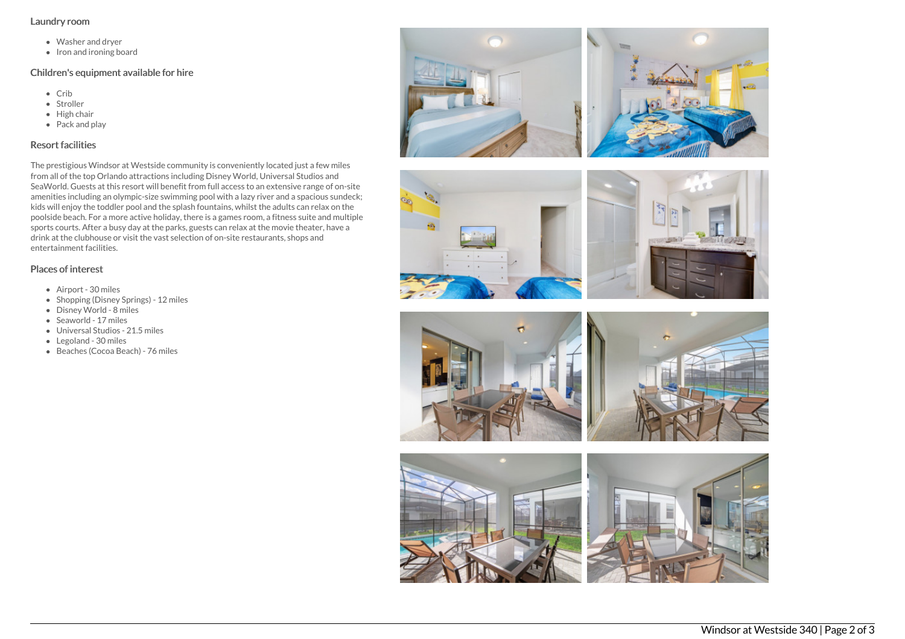#### Laundry room

- Washer and dryer
- Iron and ironing board

## Children's equipment available for hire

- Crib
- Stroller
- $\bullet$  High chair
- Pack and play

# Resort facilities

The prestigious Windsor at Westside community is conveniently located just a few miles from all of the top Orlando attractions including Disney World, Universal Studios and SeaWorld. Guests at this resort will benefit from full access to an extensive range of on-site amenities including an olympic-size swimming pool with a lazy river and a spacious sundeck; kids will enjoy the toddler pool and the splash fountains, whilst the adults can relax on the poolside beach. For a more active holiday, there is a games room, a fitness suite and multiple sports courts. After a busy day at the parks, guests can relax at the movie theater, have a drink at the clubhouse or visit the vast selection of on-site restaurants, shops and entertainment facilities.

## Places of interest

- Airport 30 miles
- Shopping (Disney Springs) 12 miles
- Disney World 8 miles
- Seaworld 17 miles
- Universal Studios 21.5 miles
- Legoland 30 miles
- Beaches (Cocoa Beach) 76 miles